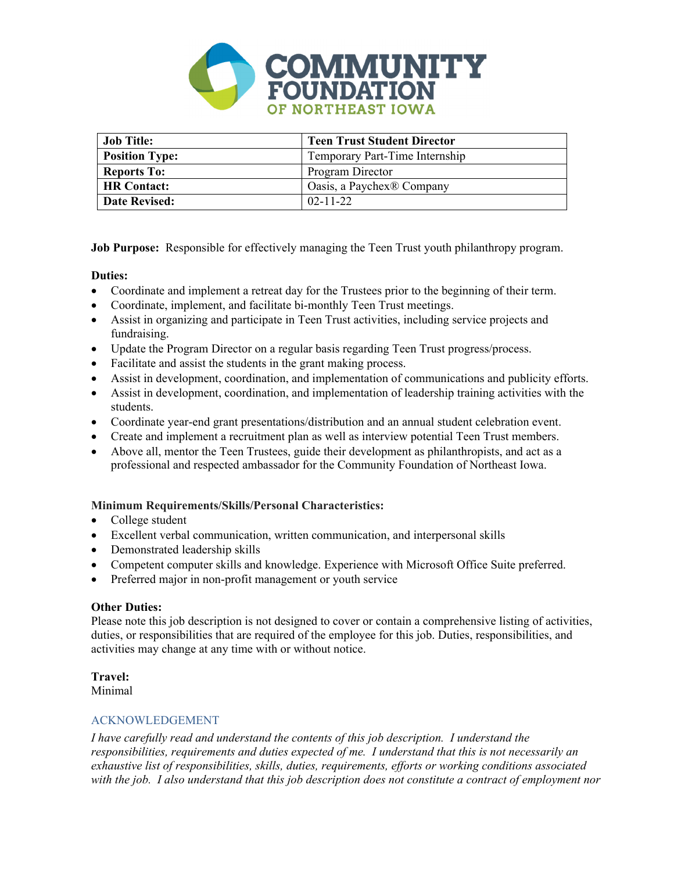

| <b>Job Title:</b>     | <b>Teen Trust Student Director</b> |
|-----------------------|------------------------------------|
| <b>Position Type:</b> | Temporary Part-Time Internship     |
| <b>Reports To:</b>    | Program Director                   |
| <b>HR</b> Contact:    | Oasis, a Paychex® Company          |
| <b>Date Revised:</b>  | $02 - 11 - 22$                     |

**Job Purpose:** Responsible for effectively managing the Teen Trust youth philanthropy program.

# **Duties:**

- Coordinate and implement a retreat day for the Trustees prior to the beginning of their term.
- Coordinate, implement, and facilitate bi-monthly Teen Trust meetings.
- Assist in organizing and participate in Teen Trust activities, including service projects and fundraising.
- Update the Program Director on a regular basis regarding Teen Trust progress/process.
- Facilitate and assist the students in the grant making process.
- Assist in development, coordination, and implementation of communications and publicity efforts.
- Assist in development, coordination, and implementation of leadership training activities with the students.
- Coordinate year-end grant presentations/distribution and an annual student celebration event.
- Create and implement a recruitment plan as well as interview potential Teen Trust members.
- Above all, mentor the Teen Trustees, guide their development as philanthropists, and act as a professional and respected ambassador for the Community Foundation of Northeast Iowa.

## **Minimum Requirements/Skills/Personal Characteristics:**

- College student
- Excellent verbal communication, written communication, and interpersonal skills
- Demonstrated leadership skills
- Competent computer skills and knowledge. Experience with Microsoft Office Suite preferred.
- Preferred major in non-profit management or youth service

## **Other Duties:**

Please note this job description is not designed to cover or contain a comprehensive listing of activities, duties, or responsibilities that are required of the employee for this job. Duties, responsibilities, and activities may change at any time with or without notice.

## **Travel:**

Minimal

## ACKNOWLEDGEMENT

*I have carefully read and understand the contents of this job description. I understand the responsibilities, requirements and duties expected of me. I understand that this is not necessarily an exhaustive list of responsibilities, skills, duties, requirements, efforts or working conditions associated with the job. I also understand that this job description does not constitute a contract of employment nor*